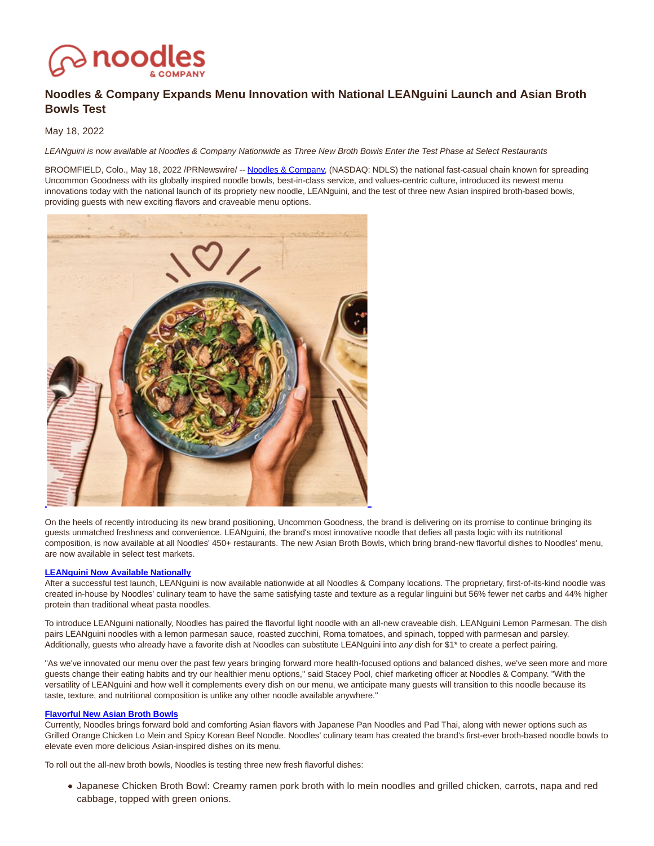# $\curvearrowright$  noodl

# **Noodles & Company Expands Menu Innovation with National LEANguini Launch and Asian Broth Bowls Test**

May 18, 2022

LEANguini is now available at Noodles & Company Nationwide as Three New Broth Bowls Enter the Test Phase at Select Restaurants

BROOMFIELD, Colo., May 18, 2022 /PRNewswire/ -- [Noodles & Company,](https://c212.net/c/link/?t=0&l=en&o=3536759-1&h=1052510545&u=http%3A%2F%2Fwww.noodles.com%2F&a=Noodles+%26+Company) (NASDAQ: NDLS) the national fast-casual chain known for spreading Uncommon Goodness with its globally inspired noodle bowls, best-in-class service, and values-centric culture, introduced its newest menu innovations today with the national launch of its propriety new noodle, LEANguini, and the test of three new Asian inspired broth-based bowls, providing guests with new exciting flavors and craveable menu options.



On the heels of recently introducing its new brand positioning, Uncommon Goodness, the brand is delivering on its promise to continue bringing its guests unmatched freshness and convenience. LEANguini, the brand's most innovative noodle that defies all pasta logic with its nutritional composition, is now available at all Noodles' 450+ restaurants. The new Asian Broth Bowls, which bring brand-new flavorful dishes to Noodles' menu, are now available in select test markets.

#### **[LEANguini Now Available Nationally](https://c212.net/c/link/?t=0&l=en&o=3536759-1&h=3274033099&u=http%3A%2F%2Fnoodles.com%2Fleanguini&a=LEANguini+Now+Available+Nationally)**

After a successful test launch, LEANguini is now available nationwide at all Noodles & Company locations. The proprietary, first-of-its-kind noodle was created in-house by Noodles' culinary team to have the same satisfying taste and texture as a regular linguini but 56% fewer net carbs and 44% higher protein than traditional wheat pasta noodles.

To introduce LEANguini nationally, Noodles has paired the flavorful light noodle with an all-new craveable dish, LEANguini Lemon Parmesan. The dish pairs LEANguini noodles with a lemon parmesan sauce, roasted zucchini, Roma tomatoes, and spinach, topped with parmesan and parsley. Additionally, guests who already have a favorite dish at Noodles can substitute LEANguini into any dish for \$1\* to create a perfect pairing.

"As we've innovated our menu over the past few years bringing forward more health-focused options and balanced dishes, we've seen more and more guests change their eating habits and try our healthier menu options," said Stacey Pool, chief marketing officer at Noodles & Company. "With the versatility of LEANguini and how well it complements every dish on our menu, we anticipate many guests will transition to this noodle because its taste, texture, and nutritional composition is unlike any other noodle available anywhere."

#### **[Flavorful New Asian Broth Bowls](https://c212.net/c/link/?t=0&l=en&o=3536759-1&h=3287173788&u=https%3A%2F%2Fwww.noodles.com%2Fasian-broth-bowls%2F&a=Flavorful+New+Asian+Broth+Bowls)**

Currently, Noodles brings forward bold and comforting Asian flavors with Japanese Pan Noodles and Pad Thai, along with newer options such as Grilled Orange Chicken Lo Mein and Spicy Korean Beef Noodle. Noodles' culinary team has created the brand's first-ever broth-based noodle bowls to elevate even more delicious Asian-inspired dishes on its menu.

To roll out the all-new broth bowls, Noodles is testing three new fresh flavorful dishes:

Japanese Chicken Broth Bowl: Creamy ramen pork broth with lo mein noodles and grilled chicken, carrots, napa and red cabbage, topped with green onions.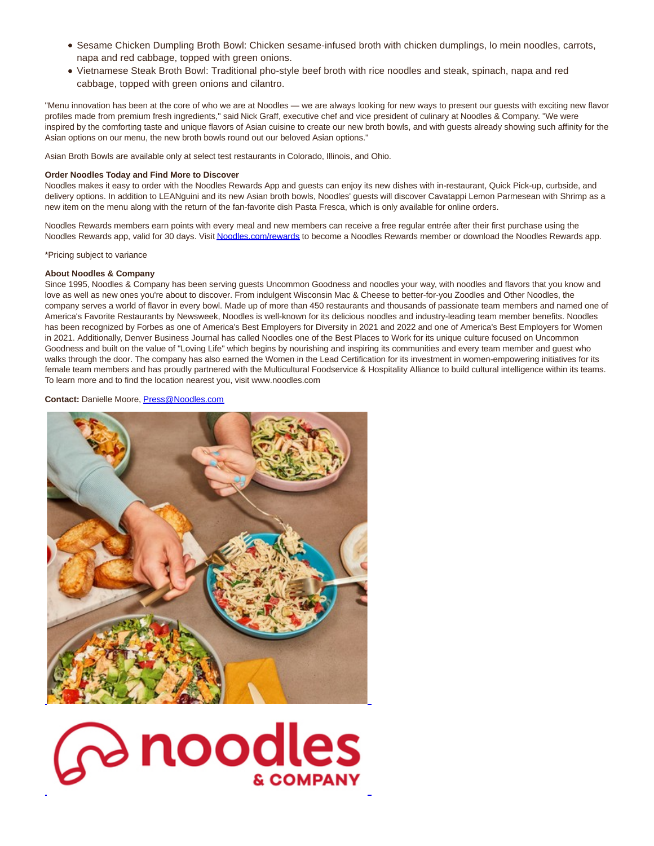- Sesame Chicken Dumpling Broth Bowl: Chicken sesame-infused broth with chicken dumplings, lo mein noodles, carrots, napa and red cabbage, topped with green onions.
- Vietnamese Steak Broth Bowl: Traditional pho-style beef broth with rice noodles and steak, spinach, napa and red cabbage, topped with green onions and cilantro.

"Menu innovation has been at the core of who we are at Noodles — we are always looking for new ways to present our guests with exciting new flavor profiles made from premium fresh ingredients," said Nick Graff, executive chef and vice president of culinary at Noodles & Company. "We were inspired by the comforting taste and unique flavors of Asian cuisine to create our new broth bowls, and with guests already showing such affinity for the Asian options on our menu, the new broth bowls round out our beloved Asian options."

Asian Broth Bowls are available only at select test restaurants in Colorado, Illinois, and Ohio.

## **Order Noodles Today and Find More to Discover**

Noodles makes it easy to order with the Noodles Rewards App and guests can enjoy its new dishes with in-restaurant, Quick Pick-up, curbside, and delivery options. In addition to LEANguini and its new Asian broth bowls, Noodles' guests will discover Cavatappi Lemon Parmesean with Shrimp as a new item on the menu along with the return of the fan-favorite dish Pasta Fresca, which is only available for online orders.

Noodles Rewards members earn points with every meal and new members can receive a free regular entrée after their first purchase using the Noodles Rewards app, valid for 30 days. Visi[t Noodles.com/rewards t](https://c212.net/c/link/?t=0&l=en&o=3536759-1&h=3207654152&u=http%3A%2F%2Fnoodles.com%2Frewards&a=Noodles.com%2Frewards)o become a Noodles Rewards member or download the Noodles Rewards app.

\*Pricing subject to variance

#### **About Noodles & Company**

Since 1995, Noodles & Company has been serving guests Uncommon Goodness and noodles your way, with noodles and flavors that you know and love as well as new ones you're about to discover. From indulgent Wisconsin Mac & Cheese to better-for-you Zoodles and Other Noodles, the company serves a world of flavor in every bowl. Made up of more than 450 restaurants and thousands of passionate team members and named one of America's Favorite Restaurants by Newsweek, Noodles is well-known for its delicious noodles and industry-leading team member benefits. Noodles has been recognized by Forbes as one of America's Best Employers for Diversity in 2021 and 2022 and one of America's Best Employers for Women in 2021. Additionally, Denver Business Journal has called Noodles one of the Best Places to Work for its unique culture focused on Uncommon Goodness and built on the value of "Loving Life" which begins by nourishing and inspiring its communities and every team member and guest who walks through the door. The company has also earned the Women in the Lead Certification for its investment in women-empowering initiatives for its female team members and has proudly partnered with the Multicultural Foodservice & Hospitality Alliance to build cultural intelligence within its teams. To learn more and to find the location nearest you, visit www.noodles.com

L

### **Contact:** Danielle Moore[, Press@Noodles.com](mailto:Press@Noodles.com)



**Phoodles**